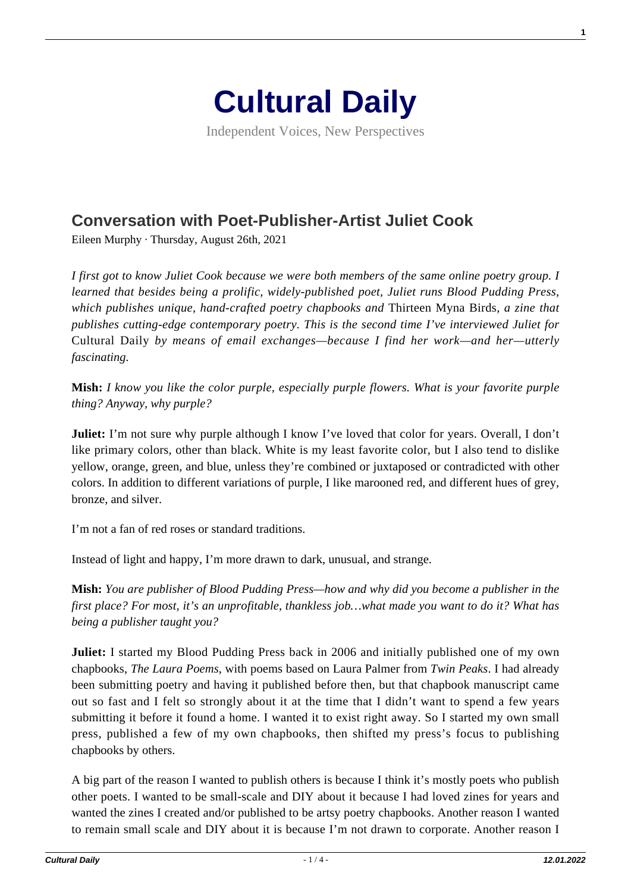

Independent Voices, New Perspectives

## **[Conversation with Poet-Publisher-Artist Juliet Cook](https://culturaldaily.com/conversation-with-poet-publisher-artist-juliet-cook/)**

Eileen Murphy · Thursday, August 26th, 2021

*I first got to know Juliet Cook because we were both members of the same online poetry group. I learned that besides being a prolific, widely-published poet, Juliet runs Blood Pudding Press, which publishes unique, hand-crafted poetry chapbooks and* Thirteen Myna Birds, *a zine that publishes cutting-edge contemporary poetry. This is the second time I've interviewed Juliet for* Cultural Daily *by means of email exchanges—because I find her work—and her—utterly fascinating.*

**Mish:** *I know you like the color purple, especially purple flowers. What is your favorite purple thing? Anyway, why purple?*

**Juliet:** I'm not sure why purple although I know I've loved that color for years. Overall, I don't like primary colors, other than black. White is my least favorite color, but I also tend to dislike yellow, orange, green, and blue, unless they're combined or juxtaposed or contradicted with other colors. In addition to different variations of purple, I like marooned red, and different hues of grey, bronze, and silver.

I'm not a fan of red roses or standard traditions.

Instead of light and happy, I'm more drawn to dark, unusual, and strange.

**Mish:** *You are publisher of Blood Pudding Press—how and why did you become a publisher in the first place? For most, it's an unprofitable, thankless job…what made you want to do it? What has being a publisher taught you?*

**Juliet:** I started my Blood Pudding Press back in 2006 and initially published one of my own chapbooks, *The Laura Poems*, with poems based on Laura Palmer from *Twin Peaks*. I had already been submitting poetry and having it published before then, but that chapbook manuscript came out so fast and I felt so strongly about it at the time that I didn't want to spend a few years submitting it before it found a home. I wanted it to exist right away. So I started my own small press, published a few of my own chapbooks, then shifted my press's focus to publishing chapbooks by others.

A big part of the reason I wanted to publish others is because I think it's mostly poets who publish other poets. I wanted to be small-scale and DIY about it because I had loved zines for years and wanted the zines I created and/or published to be artsy poetry chapbooks. Another reason I wanted to remain small scale and DIY about it is because I'm not drawn to corporate. Another reason I

**1**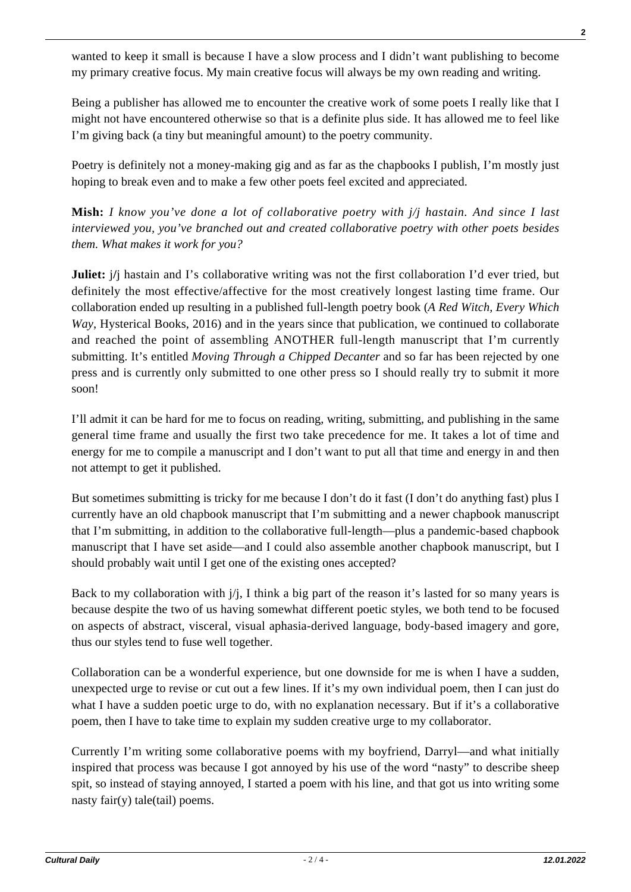wanted to keep it small is because I have a slow process and I didn't want publishing to become my primary creative focus. My main creative focus will always be my own reading and writing.

Being a publisher has allowed me to encounter the creative work of some poets I really like that I might not have encountered otherwise so that is a definite plus side. It has allowed me to feel like I'm giving back (a tiny but meaningful amount) to the poetry community.

Poetry is definitely not a money-making gig and as far as the chapbooks I publish, I'm mostly just hoping to break even and to make a few other poets feel excited and appreciated.

**Mish:** *I know you've done a lot of collaborative poetry with j/j hastain. And since I last interviewed you, you've branched out and created collaborative poetry with other poets besides them. What makes it work for you?*

**Juliet:**  $j$ <sup>*j*</sup> hastain and I's collaborative writing was not the first collaboration I'd ever tried, but definitely the most effective/affective for the most creatively longest lasting time frame. Our collaboration ended up resulting in a published full-length poetry book (*A Red Witch, Every Which Way*, Hysterical Books, 2016) and in the years since that publication, we continued to collaborate and reached the point of assembling ANOTHER full-length manuscript that I'm currently submitting. It's entitled *Moving Through a Chipped Decanter* and so far has been rejected by one press and is currently only submitted to one other press so I should really try to submit it more soon!

I'll admit it can be hard for me to focus on reading, writing, submitting, and publishing in the same general time frame and usually the first two take precedence for me. It takes a lot of time and energy for me to compile a manuscript and I don't want to put all that time and energy in and then not attempt to get it published.

But sometimes submitting is tricky for me because I don't do it fast (I don't do anything fast) plus I currently have an old chapbook manuscript that I'm submitting and a newer chapbook manuscript that I'm submitting, in addition to the collaborative full-length—plus a pandemic-based chapbook manuscript that I have set aside—and I could also assemble another chapbook manuscript, but I should probably wait until I get one of the existing ones accepted?

Back to my collaboration with  $j/j$ , I think a big part of the reason it's lasted for so many years is because despite the two of us having somewhat different poetic styles, we both tend to be focused on aspects of abstract, visceral, visual aphasia-derived language, body-based imagery and gore, thus our styles tend to fuse well together.

Collaboration can be a wonderful experience, but one downside for me is when I have a sudden, unexpected urge to revise or cut out a few lines. If it's my own individual poem, then I can just do what I have a sudden poetic urge to do, with no explanation necessary. But if it's a collaborative poem, then I have to take time to explain my sudden creative urge to my collaborator.

Currently I'm writing some collaborative poems with my boyfriend, Darryl—and what initially inspired that process was because I got annoyed by his use of the word "nasty" to describe sheep spit, so instead of staying annoyed, I started a poem with his line, and that got us into writing some nasty fair(y) tale(tail) poems.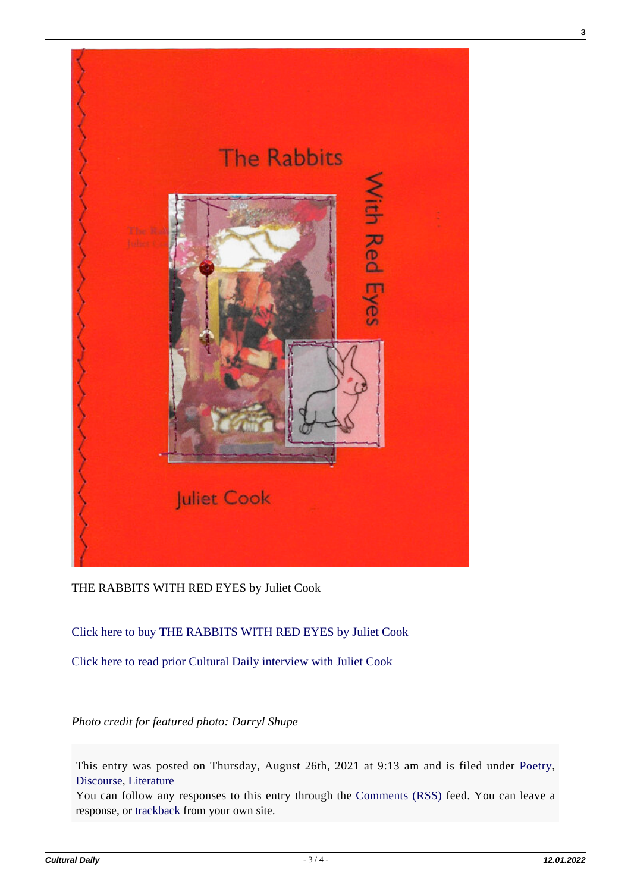

## THE RABBITS WITH RED EYES by Juliet Cook

## [Click here to buy THE RABBITS WITH RED EYES by Juliet Cook](https://www.etsy.com/listing/792299569/the-rabbits-with-red-eyes-by-juliet-cook?ga_order=most_relevant&ga_search_type=all&ga_view_type=gallery&ga_search_query=rabbit+with+red+eyes+Juliet+Cook&ref=sr_gallery-1-1&organic_search_click=1&cns=1)

[Click here to read prior Cultural Daily interview with Juliet Cook](https://www.culturaldaily.com/interview-writerpublisher-juliet-cook/)

## *Photo credit for featured photo: Darryl Shupe*

This entry was posted on Thursday, August 26th, 2021 at 9:13 am and is filed under [Poetry](https://culturaldaily.com/category/literature/poetry/), [Discourse,](https://culturaldaily.com/category/discourse/) [Literature](https://culturaldaily.com/category/literature/)

You can follow any responses to this entry through the [Comments \(RSS\)](https://culturaldaily.com/comments/feed/) feed. You can leave a response, or [trackback](https://culturaldaily.com/conversation-with-poet-publisher-artist-juliet-cook/trackback/) from your own site.